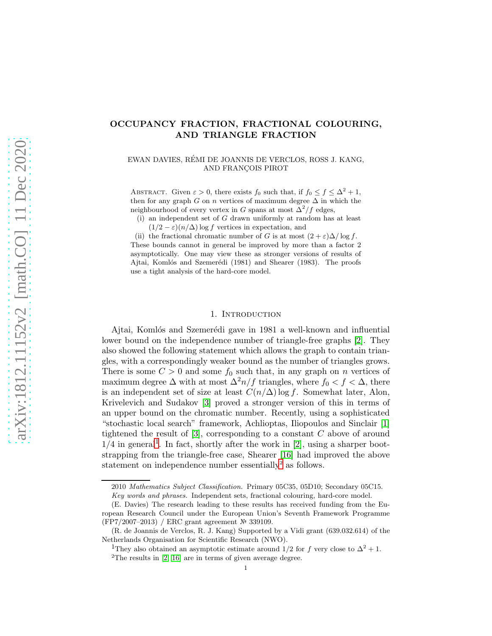# OCCUPANCY FRACTION, FRACTIONAL COLOURING, AND TRIANGLE FRACTION

EWAN DAVIES, REMI DE JOANNIS DE VERCLOS, ROSS J. KANG, ´ AND FRANÇOIS PIROT

ABSTRACT. Given  $\varepsilon > 0$ , there exists  $f_0$  such that, if  $f_0 \le f \le \Delta^2 + 1$ , then for any graph G on n vertices of maximum degree  $\Delta$  in which the neighbourhood of every vertex in G spans at most  $\Delta^2/f$  edges,

(i) an independent set of G drawn uniformly at random has at least  $(1/2 - \varepsilon)(n/\Delta)$  log f vertices in expectation, and

(ii) the fractional chromatic number of G is at most  $(2 + \varepsilon)\Delta/\log f$ . These bounds cannot in general be improved by more than a factor 2 asymptotically. One may view these as stronger versions of results of Ajtai, Komlós and Szemerédi (1981) and Shearer (1983). The proofs use a tight analysis of the hard-core model.

# 1. INTRODUCTION

Ajtai, Komlós and Szemerédi gave in 1981 a well-known and influential lower bound on the independence number of triangle-free graphs [\[2\]](#page-11-0). They also showed the following statement which allows the graph to contain triangles, with a correspondingly weaker bound as the number of triangles grows. There is some  $C > 0$  and some  $f_0$  such that, in any graph on n vertices of maximum degree  $\Delta$  with at most  $\Delta^2 n/f$  triangles, where  $f_0 < f < \Delta$ , there is an independent set of size at least  $C(n/\Delta)$  log f. Somewhat later, Alon, Krivelevich and Sudakov [\[3\]](#page-11-1) proved a stronger version of this in terms of an upper bound on the chromatic number. Recently, using a sophisticated "stochastic local search" framework, Achlioptas, Iliopoulos and Sinclair [\[1\]](#page-11-2) tightened the result of  $[3]$ , corresponding to a constant C above of around  $1/4$  $1/4$  in general<sup>1</sup>. In fact, shortly after the work in [\[2\]](#page-11-0), using a sharper bootstrapping from the triangle-free case, Shearer [\[16\]](#page-11-3) had improved the above statement on independence number essentially<sup>[2](#page-0-1)</sup> as follows.

<sup>2010</sup> Mathematics Subject Classification. Primary 05C35, 05D10; Secondary 05C15.

Key words and phrases. Independent sets, fractional colouring, hard-core model.

<sup>(</sup>E. Davies) The research leading to these results has received funding from the European Research Council under the European Union's Seventh Framework Programme (FP7/2007–2013) / ERC grant agreement № 339109.

<sup>(</sup>R. de Joannis de Verclos, R. J. Kang) Supported by a Vidi grant (639.032.614) of the Netherlands Organisation for Scientific Research (NWO).

<span id="page-0-1"></span><span id="page-0-0"></span><sup>&</sup>lt;sup>1</sup>They also obtained an asymptotic estimate around 1/2 for f very close to  $\Delta^2 + 1$ . <sup>2</sup>The results in  $[2, 16]$  $[2, 16]$  are in terms of given average degree.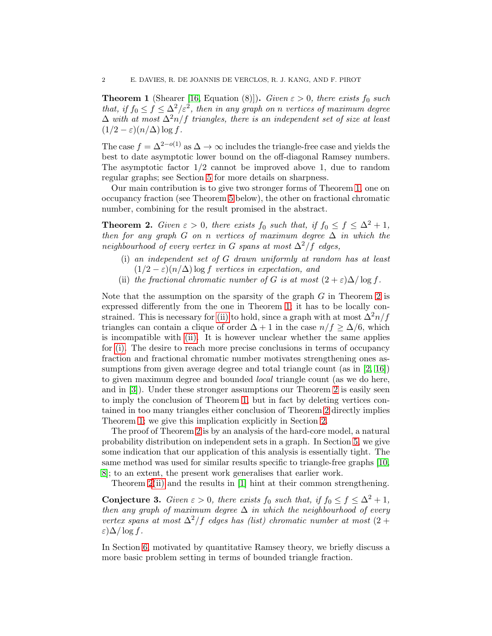<span id="page-1-0"></span>**Theorem 1** (Shearer [\[16,](#page-11-3) Equation (8)]). Given  $\varepsilon > 0$ , there exists  $f_0$  such that, if  $f_0 \le f \le \Delta^2/\varepsilon^2$ , then in any graph on n vertices of maximum degree  $\Delta$  with at most  $\Delta^2 n/f$  triangles, there is an independent set of size at least  $(1/2 - \varepsilon)(n/\Delta) \log f$ .

The case  $f = \Delta^{2-o(1)}$  as  $\Delta \to \infty$  includes the triangle-free case and yields the best to date asymptotic lower bound on the off-diagonal Ramsey numbers. The asymptotic factor 1/2 cannot be improved above 1, due to random regular graphs; see Section [5](#page-8-0) for more details on sharpness.

Our main contribution is to give two stronger forms of Theorem [1,](#page-1-0) one on occupancy fraction (see Theorem [5](#page-3-0) below), the other on fractional chromatic number, combining for the result promised in the abstract.

<span id="page-1-1"></span>**Theorem 2.** Given  $\varepsilon > 0$ , there exists  $f_0$  such that, if  $f_0 \le f \le \Delta^2 + 1$ , then for any graph G on n vertices of maximum degree  $\Delta$  in which the neighbourhood of every vertex in G spans at most  $\Delta^2/f$  edges,

- <span id="page-1-3"></span>(i) an independent set of G drawn uniformly at random has at least  $(1/2 - \varepsilon)(n/\Delta)$  log f vertices in expectation, and
- <span id="page-1-2"></span>(ii) the fractional chromatic number of G is at most  $(2 + \varepsilon)\Delta/\log f$ .

Note that the assumption on the sparsity of the graph  $G$  in Theorem [2](#page-1-1) is expressed differently from the one in Theorem [1;](#page-1-0) it has to be locally con-strained. This is necessary for [\(ii\)](#page-1-2) to hold, since a graph with at most  $\Delta^2 n/f$ triangles can contain a clique of order  $\Delta + 1$  in the case  $n/f \geq \Delta/6$ , which is incompatible with [\(ii\).](#page-1-2) It is however unclear whether the same applies for [\(i\).](#page-1-3) The desire to reach more precise conclusions in terms of occupancy fraction and fractional chromatic number motivates strengthening ones assumptions from given average degree and total triangle count (as in  $[2, 16]$  $[2, 16]$ ) to given maximum degree and bounded local triangle count (as we do here, and in [\[3\]](#page-11-1)). Under these stronger assumptions our Theorem [2](#page-1-1) is easily seen to imply the conclusion of Theorem [1,](#page-1-0) but in fact by deleting vertices contained in too many triangles either conclusion of Theorem [2](#page-1-1) directly implies Theorem [1;](#page-1-0) we give this implication explicitly in Section [2.](#page-3-1)

The proof of Theorem [2](#page-1-1) is by an analysis of the hard-core model, a natural probability distribution on independent sets in a graph. In Section [5,](#page-8-0) we give some indication that our application of this analysis is essentially tight. The same method was used for similar results specific to triangle-free graphs [\[10,](#page-11-4) [8\]](#page-11-5); to an extent, the present work generalises that earlier work.

Theorem [2](#page-1-1)[\(ii\)](#page-1-2) and the results in [\[1\]](#page-11-2) hint at their common strengthening.

<span id="page-1-4"></span>**Conjecture 3.** Given  $\varepsilon > 0$ , there exists  $f_0$  such that, if  $f_0 \le f \le \Delta^2 + 1$ , then any graph of maximum degree  $\Delta$  in which the neighbourhood of every vertex spans at most  $\Delta^2/f$  edges has (list) chromatic number at most (2 + ε)∆/ log f.

In Section [6,](#page-10-0) motivated by quantitative Ramsey theory, we briefly discuss a more basic problem setting in terms of bounded triangle fraction.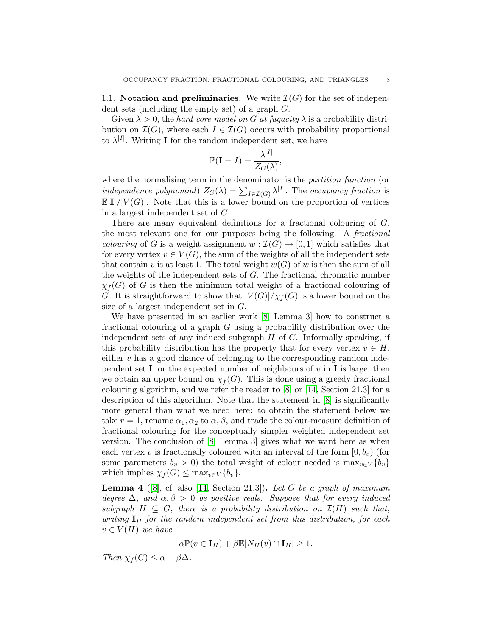<span id="page-2-1"></span>1.1. Notation and preliminaries. We write  $\mathcal{I}(G)$  for the set of independent sets (including the empty set) of a graph G.

Given  $\lambda > 0$ , the *hard-core model on G at fugacity*  $\lambda$  is a probability distribution on  $\mathcal{I}(G)$ , where each  $I \in \mathcal{I}(G)$  occurs with probability proportional to  $\lambda^{|I|}$ . Writing **I** for the random independent set, we have

$$
\mathbb{P}(\mathbf{I}=I)=\frac{\lambda^{|I|}}{Z_G(\lambda)},
$$

where the normalising term in the denominator is the *partition function* (or independence polynomial)  $Z_G(\lambda) = \sum_{I \in \mathcal{I}(G)} \lambda^{|I|}$ . The occupancy fraction is  $\mathbb{E}[\mathbf{I}]/|V(G)|$ . Note that this is a lower bound on the proportion of vertices in a largest independent set of G.

There are many equivalent definitions for a fractional colouring of G, the most relevant one for our purposes being the following. A fractional *colouring* of G is a weight assignment  $w : \mathcal{I}(G) \to [0, 1]$  which satisfies that for every vertex  $v \in V(G)$ , the sum of the weights of all the independent sets that contain v is at least 1. The total weight  $w(G)$  of w is then the sum of all the weights of the independent sets of G. The fractional chromatic number  $\chi_f(G)$  of G is then the minimum total weight of a fractional colouring of G. It is straightforward to show that  $|V(G)|/\chi_f(G)$  is a lower bound on the size of a largest independent set in G.

We have presented in an earlier work [\[8,](#page-11-5) Lemma 3] how to construct a fractional colouring of a graph G using a probability distribution over the independent sets of any induced subgraph  $H$  of  $G$ . Informally speaking, if this probability distribution has the property that for every vertex  $v \in H$ , either  $v$  has a good chance of belonging to the corresponding random independent set **I**, or the expected number of neighbours of  $v$  in **I** is large, then we obtain an upper bound on  $\chi_f(G)$ . This is done using a greedy fractional colouring algorithm, and we refer the reader to  $[8]$  or  $[14, Section 21.3]$  for a description of this algorithm. Note that the statement in [\[8\]](#page-11-5) is significantly more general than what we need here: to obtain the statement below we take  $r = 1$ , rename  $\alpha_1, \alpha_2$  to  $\alpha, \beta$ , and trade the colour-measure definition of fractional colouring for the conceptually simpler weighted independent set version. The conclusion of [\[8,](#page-11-5) Lemma 3] gives what we want here as when each vertex v is fractionally coloured with an interval of the form  $[0, b_v)$  (for some parameters  $b_v > 0$ ) the total weight of colour needed is  $\max_{v \in V} \{b_v\}$ which implies  $\chi_f(G) \leq \max_{v \in V} \{b_v\}.$ 

<span id="page-2-0"></span>**Lemma 4** ([\[8\]](#page-11-5), cf. also [\[14,](#page-11-6) Section 21.3]). Let G be a graph of maximum degree  $\Delta$ , and  $\alpha, \beta > 0$  be positive reals. Suppose that for every induced subgraph  $H \subseteq G$ , there is a probability distribution on  $\mathcal{I}(H)$  such that, writing  $I_H$  for the random independent set from this distribution, for each  $v \in V(H)$  we have

$$
\alpha \mathbb{P}(v \in \mathbf{I}_H) + \beta \mathbb{E}|N_H(v) \cap \mathbf{I}_H| \ge 1.
$$

Then  $\chi_f(G) \leq \alpha + \beta \Delta$ .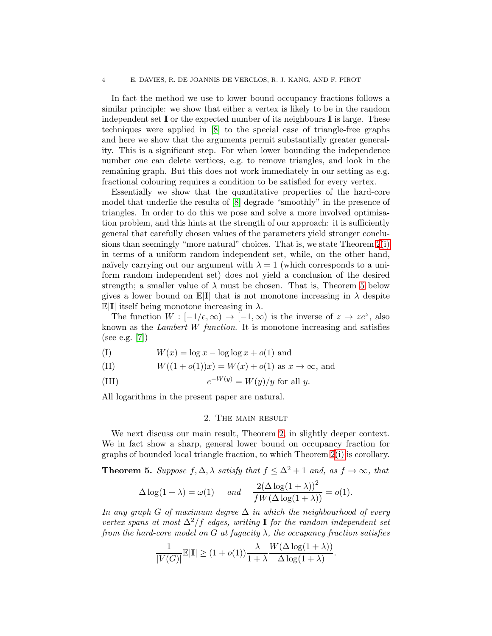In fact the method we use to lower bound occupancy fractions follows a similar principle: we show that either a vertex is likely to be in the random independent set I or the expected number of its neighbours I is large. These techniques were applied in [\[8\]](#page-11-5) to the special case of triangle-free graphs and here we show that the arguments permit substantially greater generality. This is a significant step. For when lower bounding the independence number one can delete vertices, e.g. to remove triangles, and look in the remaining graph. But this does not work immediately in our setting as e.g. fractional colouring requires a condition to be satisfied for every vertex.

Essentially we show that the quantitative properties of the hard-core model that underlie the results of [\[8\]](#page-11-5) degrade "smoothly" in the presence of triangles. In order to do this we pose and solve a more involved optimisation problem, and this hints at the strength of our approach: it is sufficiently general that carefully chosen values of the parameters yield stronger conclusions than seemingly "more natural" choices. That is, we state Theorem [2](#page-1-1)[\(i\)](#page-1-3) in terms of a uniform random independent set, while, on the other hand, naïvely carrying out our argument with  $\lambda = 1$  (which corresponds to a uniform random independent set) does not yield a conclusion of the desired strength; a smaller value of  $\lambda$  must be chosen. That is, Theorem [5](#page-3-0) below gives a lower bound on  $\mathbb{E}[\mathbf{I}]$  that is not monotone increasing in  $\lambda$  despite  $\mathbb{E}[\mathbf{I}]$  itself being monotone increasing in  $\lambda$ .

The function  $W : [-1/e, \infty) \to [-1, \infty)$  is the inverse of  $z \mapsto ze^z$ , also known as the Lambert W function. It is monotone increasing and satisfies (see e.g. [\[7\]](#page-11-7))

<span id="page-3-4"></span>
$$
(I) \t W(x) = \log x - \log \log x + o(1) \text{ and}
$$

<span id="page-3-2"></span>(II) 
$$
W((1 + o(1))x) = W(x) + o(1)
$$
 as  $x \to \infty$ , and

<span id="page-3-3"></span>(III) 
$$
e^{-W(y)} = W(y)/y \text{ for all } y.
$$

<span id="page-3-1"></span>All logarithms in the present paper are natural.

#### 2. The main result

We next discuss our main result, Theorem [2,](#page-1-1) in slightly deeper context. We in fact show a sharp, general lower bound on occupancy fraction for graphs of bounded local triangle fraction, to which Theorem [2](#page-1-1)[\(i\)](#page-1-3) is corollary.

<span id="page-3-0"></span>**Theorem 5.** Suppose  $f, \Delta, \lambda$  satisfy that  $f \leq \Delta^2 + 1$  and, as  $f \to \infty$ , that

$$
\Delta \log(1+\lambda) = \omega(1) \quad \text{and} \quad \frac{2(\Delta \log(1+\lambda))^2}{fW(\Delta \log(1+\lambda))} = o(1).
$$

In any graph G of maximum degree  $\Delta$  in which the neighbourhood of every vertex spans at most  $\Delta^2/f$  edges, writing I for the random independent set from the hard-core model on G at fugacity  $\lambda$ , the occupancy fraction satisfies

$$
\frac{1}{|V(G)|} \mathbb{E}|\mathbf{I}| \ge (1 + o(1)) \frac{\lambda}{1 + \lambda} \frac{W(\Delta \log(1 + \lambda))}{\Delta \log(1 + \lambda)}.
$$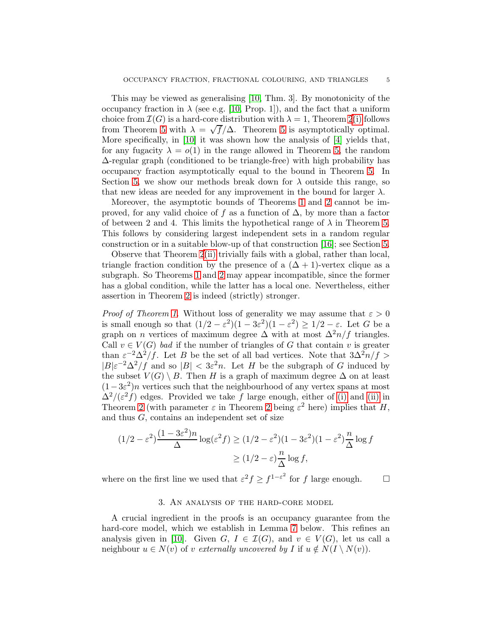This may be viewed as generalising [\[10,](#page-11-4) Thm. 3]. By monotonicity of the occupancy fraction in  $\lambda$  (see e.g. [\[10,](#page-11-4) Prop. 1]), and the fact that a uniform choice from  $\mathcal{I}(G)$  is a hard-core distribution with  $\lambda = 1$ , Theorem [2](#page-1-1)[\(i\)](#page-1-3) follows from Theorem [5](#page-3-0) with  $\lambda = \sqrt{f}/\Delta$ . Theorem 5 is asymptotically optimal. More specifically, in [\[10\]](#page-11-4) it was shown how the analysis of [\[4\]](#page-11-8) yields that, for any fugacity  $\lambda = o(1)$  in the range allowed in Theorem [5,](#page-3-0) the random ∆-regular graph (conditioned to be triangle-free) with high probability has occupancy fraction asymptotically equal to the bound in Theorem [5.](#page-3-0) In Section [5,](#page-8-0) we show our methods break down for  $\lambda$  outside this range, so that new ideas are needed for any improvement in the bound for larger  $\lambda$ .

Moreover, the asymptotic bounds of Theorems [1](#page-1-0) and [2](#page-1-1) cannot be improved, for any valid choice of f as a function of  $\Delta$ , by more than a factor of between 2 and 4. This limits the hypothetical range of  $\lambda$  in Theorem [5.](#page-3-0) This follows by considering largest independent sets in a random regular construction or in a suitable blow-up of that construction [\[16\]](#page-11-3); see Section [5.](#page-8-0)

Observe that Theorem [2](#page-1-1)[\(ii\)](#page-1-2) trivially fails with a global, rather than local, triangle fraction condition by the presence of a  $(\Delta + 1)$ -vertex clique as a subgraph. So Theorems [1](#page-1-0) and [2](#page-1-1) may appear incompatible, since the former has a global condition, while the latter has a local one. Nevertheless, either assertion in Theorem [2](#page-1-1) is indeed (strictly) stronger.

*Proof of Theorem [1.](#page-1-0)* Without loss of generality we may assume that  $\varepsilon > 0$ is small enough so that  $(1/2 - \varepsilon^2)(1 - 3\varepsilon^2)(1 - \varepsilon^2) \ge 1/2 - \varepsilon$ . Let G be a graph on *n* vertices of maximum degree  $\Delta$  with at most  $\Delta^2 n/f$  triangles. Call  $v \in V(G)$  bad if the number of triangles of G that contain v is greater than  $\varepsilon^{-2} \Delta^2/f$ . Let B be the set of all bad vertices. Note that  $3\Delta^2 n/f >$  $|B|\varepsilon^{-2}\Delta^2/f$  and so  $|B| < 3\varepsilon^2 n$ . Let H be the subgraph of G induced by the subset  $V(G) \setminus B$ . Then H is a graph of maximum degree  $\Delta$  on at least  $(1-3\varepsilon^2)n$  vertices such that the neighbourhood of any vertex spans at most  $\Delta^2/(\varepsilon^2 f)$  edges. Provided we take f large enough, either of [\(i\)](#page-1-3) and [\(ii\)](#page-1-2) in Theorem [2](#page-1-1) (with parameter  $\varepsilon$  in Theorem 2 being  $\varepsilon^2$  here) implies that H, and thus  $G$ , contains an independent set of size

$$
(1/2 - \varepsilon^2) \frac{(1 - 3\varepsilon^2)n}{\Delta} \log(\varepsilon^2 f) \ge (1/2 - \varepsilon^2)(1 - 3\varepsilon^2)(1 - \varepsilon^2) \frac{n}{\Delta} \log f
$$

$$
\ge (1/2 - \varepsilon) \frac{n}{\Delta} \log f,
$$

<span id="page-4-0"></span>where on the first line we used that  $\varepsilon^2 f \geq f^{1-\varepsilon^2}$  for f large enough.  $\Box$ 

# 3. An analysis of the hard-core model

A crucial ingredient in the proofs is an occupancy guarantee from the hard-core model, which we establish in Lemma [7](#page-6-0) below. This refines an analysis given in [\[10\]](#page-11-4). Given  $G, I \in \mathcal{I}(G)$ , and  $v \in V(G)$ , let us call a neighbour  $u \in N(v)$  of v externally uncovered by I if  $u \notin N(I \setminus N(v))$ .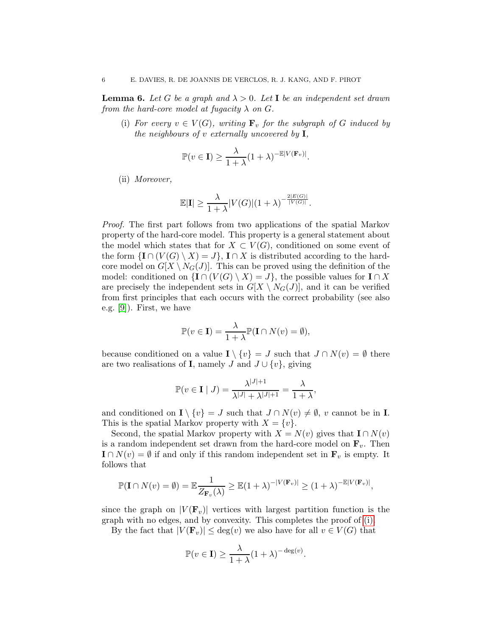<span id="page-5-2"></span><span id="page-5-0"></span>**Lemma 6.** Let G be a graph and  $\lambda > 0$ . Let I be an independent set drawn from the hard-core model at fugacity  $\lambda$  on G.

(i) For every  $v \in V(G)$ , writing  $\mathbf{F}_v$  for the subgraph of G induced by the neighbours of  $v$  externally uncovered by  $I$ ,

$$
\mathbb{P}(v \in \mathbf{I}) \ge \frac{\lambda}{1+\lambda} (1+\lambda)^{-\mathbb{E}|V(\mathbf{F}_v)|}.
$$

<span id="page-5-1"></span>(ii) Moreover,

$$
\mathbb{E}|\mathbf{I}| \geq \frac{\lambda}{1+\lambda} |V(G)|(1+\lambda)^{-\frac{2|E(G)|}{|V(G)|}}.
$$

Proof. The first part follows from two applications of the spatial Markov property of the hard-core model. This property is a general statement about the model which states that for  $X \subset V(G)$ , conditioned on some event of the form  $\{I \cap (V(G) \setminus X) = J\}$ ,  $I \cap X$  is distributed according to the hardcore model on  $G[X \setminus N_G(J)]$ . This can be proved using the definition of the model: conditioned on  $\{I \cap (V(G) \setminus X) = J\}$ , the possible values for  $I \cap X$ are precisely the independent sets in  $G[X \setminus N_G(J)]$ , and it can be verified from first principles that each occurs with the correct probability (see also e.g. [\[9\]](#page-11-9)). First, we have

$$
\mathbb{P}(v \in \mathbf{I}) = \frac{\lambda}{1 + \lambda} \mathbb{P}(\mathbf{I} \cap N(v) = \emptyset),
$$

because conditioned on a value  $\mathbf{I} \setminus \{v\} = J$  such that  $J \cap N(v) = \emptyset$  there are two realisations of **I**, namely J and  $J \cup \{v\}$ , giving

$$
\mathbb{P}(v \in \mathbf{I} \mid J) = \frac{\lambda^{|J|+1}}{\lambda^{|J|} + \lambda^{|J|+1}} = \frac{\lambda}{1+\lambda},
$$

and conditioned on  $\mathbf{I} \setminus \{v\} = J$  such that  $J \cap N(v) \neq \emptyset$ , v cannot be in **I**. This is the spatial Markov property with  $X = \{v\}.$ 

Second, the spatial Markov property with  $X = N(v)$  gives that  $\mathbf{I} \cap N(v)$ is a random independent set drawn from the hard-core model on  $\mathbf{F}_v$ . Then  $\mathbf{I} \cap N(v) = \emptyset$  if and only if this random independent set in  $\mathbf{F}_v$  is empty. It follows that

$$
\mathbb{P}(\mathbf{I} \cap N(v) = \emptyset) = \mathbb{E} \frac{1}{Z_{\mathbf{F}_v}(\lambda)} \ge \mathbb{E}(1+\lambda)^{-|V(\mathbf{F}_v)|} \ge (1+\lambda)^{-\mathbb{E}|V(\mathbf{F}_v)|},
$$

since the graph on  $|V(\mathbf{F}_v)|$  vertices with largest partition function is the graph with no edges, and by convexity. This completes the proof of [\(i\).](#page-5-0)

By the fact that  $|V(\mathbf{F}_v)| \leq \deg(v)$  we also have for all  $v \in V(G)$  that

$$
\mathbb{P}(v \in \mathbf{I}) \ge \frac{\lambda}{1+\lambda} (1+\lambda)^{-\deg(v)}.
$$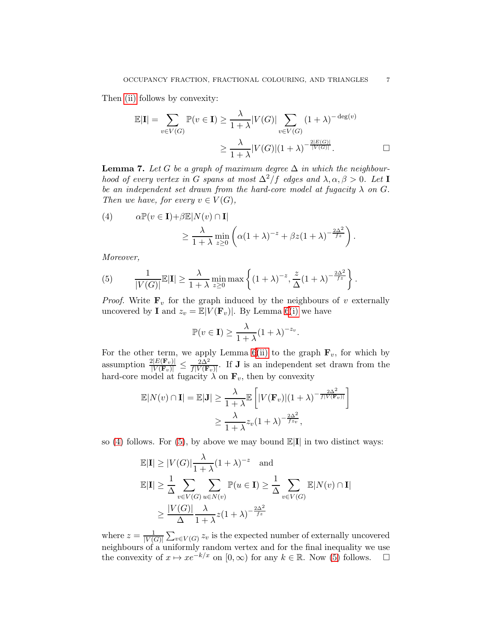Then [\(ii\)](#page-5-1) follows by convexity:

$$
\mathbb{E}|\mathbf{I}| = \sum_{v \in V(G)} \mathbb{P}(v \in \mathbf{I}) \ge \frac{\lambda}{1+\lambda} |V(G)| \sum_{v \in V(G)} (1+\lambda)^{-\deg(v)}
$$

$$
\ge \frac{\lambda}{1+\lambda} |V(G)| (1+\lambda)^{-\frac{2|E(G)|}{|V(G)|}}.
$$

<span id="page-6-0"></span>**Lemma 7.** Let G be a graph of maximum degree  $\Delta$  in which the neighbourhood of every vertex in G spans at most  $\Delta^2/f$  edges and  $\lambda, \alpha, \beta > 0$ . Let I be an independent set drawn from the hard-core model at fugacity  $\lambda$  on G. Then we have, for every  $v \in V(G)$ ,

<span id="page-6-1"></span>(4) 
$$
\alpha \mathbb{P}(v \in \mathbf{I}) + \beta \mathbb{E}|N(v) \cap \mathbf{I}|
$$

$$
\geq \frac{\lambda}{1 + \lambda} \min_{z \geq 0} \left( \alpha (1 + \lambda)^{-z} + \beta z (1 + \lambda)^{-\frac{2\Delta^2}{fz}} \right).
$$

Moreover,

<span id="page-6-2"></span>(5) 
$$
\frac{1}{|V(G)|} \mathbb{E}|\mathbf{I}| \geq \frac{\lambda}{1+\lambda} \min_{z\geq 0} \max\left\{ (1+\lambda)^{-z}, \frac{z}{\Delta} (1+\lambda)^{-\frac{2\Delta^2}{fz}} \right\}.
$$

*Proof.* Write  $\mathbf{F}_v$  for the graph induced by the neighbours of v externally uncovered by **I** and  $z_v = \mathbb{E}|V(\mathbf{F}_v)|$ . By Lemma [6](#page-5-2)[\(i\)](#page-5-0) we have

$$
\mathbb{P}(v \in \mathbf{I}) \ge \frac{\lambda}{1+\lambda}(1+\lambda)^{-z_v}.
$$

For the other term, we apply Lemma [6](#page-5-2)[\(ii\)](#page-5-1) to the graph  $\mathbf{F}_v$ , for which by assumption  $\frac{2|E(\mathbf{F}_v)|}{|V(\mathbf{F}_v)|} \leq \frac{2\Delta^2}{f|V(\mathbf{F}_v)|}$ . If **J** is an independent set drawn from the hard-core model at fugacity  $\lambda$  on  $\mathbf{F}_v$ , then by convexity

$$
\mathbb{E}|N(v) \cap \mathbf{I}| = \mathbb{E}|\mathbf{J}| \ge \frac{\lambda}{1+\lambda} \mathbb{E}\left[|V(\mathbf{F}_v)|(1+\lambda)^{-\frac{2\Delta^2}{f|V(\mathbf{F}_v)|}}\right]
$$

$$
\ge \frac{\lambda}{1+\lambda} z_v (1+\lambda)^{-\frac{2\Delta^2}{f z_v}},
$$

so [\(4\)](#page-6-1) follows. For [\(5\)](#page-6-2), by above we may bound  $\mathbb{E}[\mathbf{I}]$  in two distinct ways:

$$
\mathbb{E}|\mathbf{I}| \ge |V(G)| \frac{\lambda}{1+\lambda} (1+\lambda)^{-z} \text{ and}
$$
  
\n
$$
\mathbb{E}|\mathbf{I}| \ge \frac{1}{\Delta} \sum_{v \in V(G)} \sum_{u \in N(v)} \mathbb{P}(u \in \mathbf{I}) \ge \frac{1}{\Delta} \sum_{v \in V(G)} \mathbb{E}|N(v) \cap \mathbf{I}|
$$
  
\n
$$
\ge \frac{|V(G)|}{\Delta} \frac{\lambda}{1+\lambda} z (1+\lambda)^{-\frac{2\Delta^2}{f z}}
$$

where  $z = \frac{1}{W}$  $\frac{1}{|V(G)|} \sum_{v \in V(G)} z_v$  is the expected number of externally uncovered neighbours of a uniformly random vertex and for the final inequality we use the convexity of  $x \mapsto xe^{-k/x}$  on  $[0, \infty)$  for any  $k \in \mathbb{R}$ . Now [\(5\)](#page-6-2) follows.  $\square$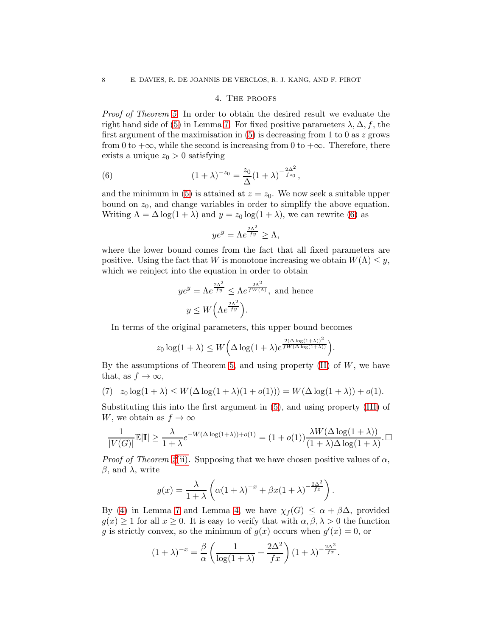## 4. The proofs

Proof of Theorem [5.](#page-3-0) In order to obtain the desired result we evaluate the right hand side of [\(5\)](#page-6-2) in Lemma [7.](#page-6-0) For fixed positive parameters  $\lambda$ ,  $\Delta$ , f, the first argument of the maximisation in  $(5)$  is decreasing from 1 to 0 as z grows from 0 to  $+\infty$ , while the second is increasing from 0 to  $+\infty$ . Therefore, there exists a unique  $z_0 > 0$  satisfying

<span id="page-7-0"></span>(6) 
$$
(1 + \lambda)^{-z_0} = \frac{z_0}{\Delta} (1 + \lambda)^{-\frac{2\Delta^2}{f z_0}},
$$

and the minimum in [\(5\)](#page-6-2) is attained at  $z = z_0$ . We now seek a suitable upper bound on  $z_0$ , and change variables in order to simplify the above equation. Writing  $\Lambda = \Delta \log(1 + \lambda)$  and  $y = z_0 \log(1 + \lambda)$ , we can rewrite [\(6\)](#page-7-0) as

$$
ye^y = \Lambda e^{\frac{2\Lambda^2}{fy}} \ge \Lambda,
$$

where the lower bound comes from the fact that all fixed parameters are positive. Using the fact that W is monotone increasing we obtain  $W(\Lambda) \leq y$ , which we reinject into the equation in order to obtain

$$
ye^{y} = \Lambda e^{\frac{2\Lambda^{2}}{fy}} \leq \Lambda e^{\frac{2\Lambda^{2}}{fW(\Lambda)}}, \text{ and hence}
$$

$$
y \leq W\left(\Lambda e^{\frac{2\Lambda^{2}}{fy}}\right).
$$

In terms of the original parameters, this upper bound becomes

$$
z_0 \log(1+\lambda) \leq W\left(\Delta \log(1+\lambda)e^{\frac{2(\Delta \log(1+\lambda))^2}{fW(\Delta \log(1+\lambda))}}\right).
$$

By the assumptions of Theorem [5,](#page-3-0) and using property  $(II)$  of  $W$ , we have that, as  $f \to \infty$ ,

<span id="page-7-1"></span>(7) 
$$
z_0 \log(1 + \lambda) \le W(\Delta \log(1 + \lambda)(1 + o(1))) = W(\Delta \log(1 + \lambda)) + o(1).
$$

Substituting this into the first argument in [\(5\)](#page-6-2), and using property [\(III\)](#page-3-3) of W, we obtain as  $f \to \infty$ 

$$
\frac{1}{|V(G)|} \mathbb{E}|\mathbf{I}| \ge \frac{\lambda}{1+\lambda} e^{-W(\Delta \log(1+\lambda))+o(1)} = (1+o(1))\frac{\lambda W(\Delta \log(1+\lambda))}{(1+\lambda)\Delta \log(1+\lambda)}.
$$

*Proof of Theorem [2](#page-1-1)*[\(ii\)](#page-1-2). Supposing that we have chosen positive values of  $\alpha$ ,  $β$ , and  $λ$ , write

$$
g(x) = \frac{\lambda}{1+\lambda} \left( \alpha (1+\lambda)^{-x} + \beta x (1+\lambda)^{-\frac{2\Delta^2}{f_x}} \right).
$$

By [\(4\)](#page-6-1) in Lemma [7](#page-6-0) and Lemma [4,](#page-2-0) we have  $\chi_f(G) \leq \alpha + \beta \Delta$ , provided  $g(x) \geq 1$  for all  $x \geq 0$ . It is easy to verify that with  $\alpha, \beta, \lambda > 0$  the function g is strictly convex, so the minimum of  $g(x)$  occurs when  $g'(x) = 0$ , or

$$
(1+\lambda)^{-x} = \frac{\beta}{\alpha} \left( \frac{1}{\log(1+\lambda)} + \frac{2\Delta^2}{fx} \right) (1+\lambda)^{-\frac{2\Delta^2}{fx}}.
$$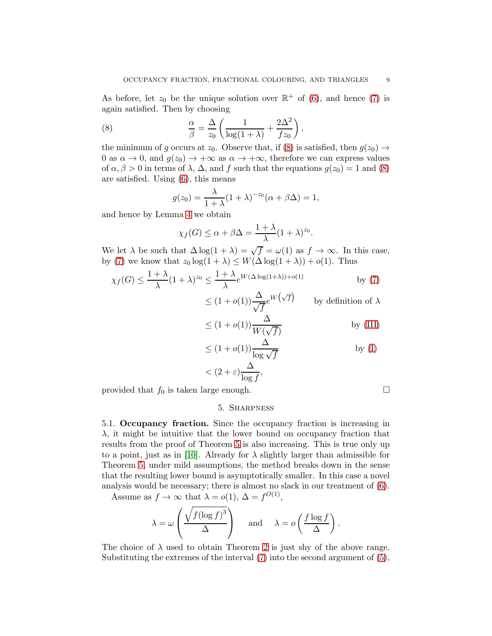As before, let  $z_0$  be the unique solution over  $\mathbb{R}^+$  of [\(6\)](#page-7-0), and hence [\(7\)](#page-7-1) is again satisfied. Then by choosing

<span id="page-8-1"></span>(8) 
$$
\frac{\alpha}{\beta} = \frac{\Delta}{z_0} \left( \frac{1}{\log(1+\lambda)} + \frac{2\Delta^2}{f z_0} \right),
$$

the minimum of g occurs at  $z_0$ . Observe that, if [\(8\)](#page-8-1) is satisfied, then  $g(z_0) \rightarrow$ 0 as  $\alpha \to 0$ , and  $g(z_0) \to +\infty$  as  $\alpha \to +\infty$ , therefore we can express values of  $\alpha, \beta > 0$  in terms of  $\lambda$ ,  $\Delta$ , and f such that the equations  $g(z_0) = 1$  and [\(8\)](#page-8-1) are satisfied. Using [\(6\)](#page-7-0), this means

$$
g(z_0) = \frac{\lambda}{1+\lambda} (1+\lambda)^{-z_0} (\alpha + \beta \Delta) = 1,
$$

and hence by Lemma [4](#page-2-0) we obtain

$$
\chi_f(G) \le \alpha + \beta \Delta = \frac{1 + \lambda}{\lambda} (1 + \lambda)^{z_0}.
$$

We let  $\lambda$  be such that  $\Delta \log(1 + \lambda) = \sqrt{f} = \omega(1)$  as  $f \to \infty$ . In this case, by [\(7\)](#page-7-1) we know that  $z_0 \log(1 + \lambda) \leq W(\Delta \log(1 + \lambda)) + o(1)$ . Thus

$$
\chi_f(G) \le \frac{1+\lambda}{\lambda} (1+\lambda)^{z_0} \le \frac{1+\lambda}{\lambda} e^{W(\Delta \log(1+\lambda)) + o(1)} \quad \text{by (7)}
$$

 $\leq (1+o(1))\frac{\Delta}{\sqrt{f}}e^{W(\sqrt{f})}$  by definition of  $\lambda$ 

$$
\leq (1 + o(1)) \frac{\Delta}{W(\sqrt{f})} \quad \text{by (III)}
$$

$$
\leq (1 + o(1)) \frac{\Delta}{\log \sqrt{f}}
$$
 by (I)

$$
<(2+\varepsilon)\frac{\Delta}{\log f},
$$

<span id="page-8-0"></span>provided that  $f_0$  is taken large enough.

## 5. Sharpness

5.1. Occupancy fraction. Since the occupancy fraction is increasing in  $\lambda$ , it might be intuitive that the lower bound on occupancy fraction that results from the proof of Theorem [5](#page-3-0) is also increasing. This is true only up to a point, just as in [\[10\]](#page-11-4). Already for  $\lambda$  slightly larger than admissible for Theorem [5,](#page-3-0) under mild assumptions, the method breaks down in the sense that the resulting lower bound is asymptotically smaller. In this case a novel analysis would be necessary; there is almost no slack in our treatment of [\(6\)](#page-7-0).

Assume as  $f \to \infty$  that  $\lambda = o(1)$ ,  $\Delta = f^{O(1)}$ ,

$$
\lambda = \omega \left( \frac{\sqrt{f(\log f)^3}}{\Delta} \right)
$$
 and  $\lambda = o \left( \frac{f \log f}{\Delta} \right)$ .

The choice of  $\lambda$  used to obtain Theorem [2](#page-1-1) is just shy of the above range. Substituting the extremes of the interval  $(7)$  into the second argument of  $(5)$ ,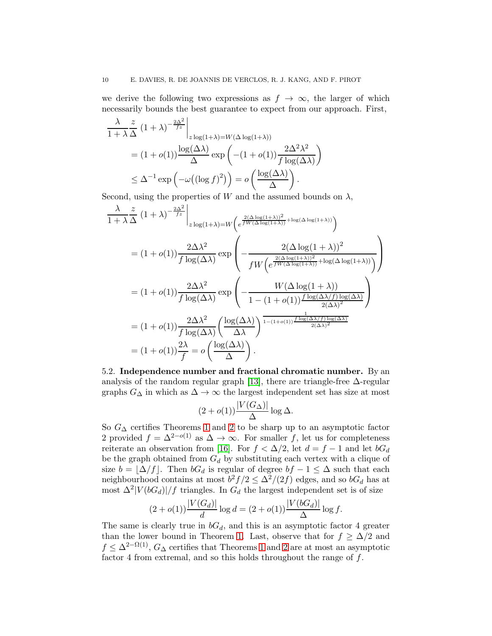we derive the following two expressions as  $f \to \infty$ , the larger of which necessarily bounds the best guarantee to expect from our approach. First,

$$
\frac{\lambda}{1+\lambda} \frac{z}{\Delta} (1+\lambda)^{-\frac{2\Delta^2}{fz}} \Big|_{z \log(1+\lambda) = W(\Delta \log(1+\lambda))}
$$
  
=  $(1+o(1)) \frac{\log(\Delta \lambda)}{\Delta} \exp\left(-(1+o(1)) \frac{2\Delta^2 \lambda^2}{f \log(\Delta \lambda)}\right)$   
 $\leq \Delta^{-1} \exp\left(-\omega\left((\log f)^2\right)\right) = o\left(\frac{\log(\Delta \lambda)}{\Delta}\right).$ 

Second, using the properties of W and the assumed bounds on  $\lambda$ ,

$$
\frac{\lambda}{1+\lambda} \frac{z}{\Delta} (1+\lambda)^{-\frac{2\Delta^2}{fz}} \Big|_{z \log(1+\lambda)=W \left(e^{\frac{2(\Delta \log(1+\lambda))^2}{fW(\Delta \log(1+\lambda))} + \log(\Delta \log(1+\lambda))}\right)}
$$
\n
$$
= (1+o(1)) \frac{2\Delta\lambda^2}{f \log(\Delta\lambda)} \exp\left(-\frac{2(\Delta \log(1+\lambda))^2}{f W \left(e^{\frac{2(\Delta \log(1+\lambda))^2}{fW(\Delta \log(1+\lambda))} + \log(\Delta \log(1+\lambda))}\right)}\right)
$$
\n
$$
= (1+o(1)) \frac{2\Delta\lambda^2}{f \log(\Delta\lambda)} \exp\left(-\frac{W(\Delta \log(1+\lambda))}{1 - (1+o(1)) \frac{f \log(\Delta\lambda/f) \log(\Delta\lambda)}{2(\Delta\lambda)^2}}\right)
$$
\n
$$
= (1+o(1)) \frac{2\Delta\lambda^2}{f \log(\Delta\lambda)} \left(\frac{\log(\Delta\lambda)}{\Delta\lambda}\right)^{\frac{1}{1-(1+o(1))} \frac{f \log(\Delta\lambda/f) \log(\Delta\lambda)}{2(\Delta\lambda)^2}} \frac{1}{(1+o(1)) \sum_{i=1}^{\infty} \frac{f \log(\Delta\lambda/f) \log(\Delta\lambda)}{2(\Delta\lambda)^2}}
$$
\n
$$
= (1+o(1)) \frac{2\lambda}{f} = o\left(\frac{\log(\Delta\lambda)}{\Delta}\right).
$$

5.2. Independence number and fractional chromatic number. By an analysis of the random regular graph [\[13\]](#page-11-10), there are triangle-free  $\Delta$ -regular graphs  $G_{\Delta}$  in which as  $\Delta \rightarrow \infty$  the largest independent set has size at most

$$
(2+o(1))\frac{|V(G_\Delta)|}{\Delta}\log \Delta.
$$

So  $G_{\Delta}$  certifies Theorems [1](#page-1-0) and [2](#page-1-1) to be sharp up to an asymptotic factor 2 provided  $f = \Delta^{2-o(1)}$  as  $\Delta \to \infty$ . For smaller f, let us for completeness reiterate an observation from [\[16\]](#page-11-3). For  $f < \Delta/2$ , let  $d = f - 1$  and let  $bG_d$ be the graph obtained from  $G_d$  by substituting each vertex with a clique of size  $b = \lfloor \Delta/f \rfloor$ . Then  $bG_d$  is regular of degree  $bf - 1 \leq \Delta$  such that each neighbourhood contains at most  $b^2 f/2 \leq \Delta^2/(2f)$  edges, and so  $bG_d$  has at most  $\Delta^2 |V(bG_d)|/f$  triangles. In  $G_d$  the largest independent set is of size

$$
(2 + o(1)) \frac{|V(G_d)|}{d} \log d = (2 + o(1)) \frac{|V(bG_d)|}{\Delta} \log f.
$$

The same is clearly true in  $bG_d$ , and this is an asymptotic factor 4 greater than the lower bound in Theorem [1.](#page-1-0) Last, observe that for  $f \geq \Delta/2$  and  $f \leq \Delta^{2-\Omega(1)}$ ,  $G_{\Delta}$  certifies that Theorems [1](#page-1-0) and [2](#page-1-1) are at most an asymptotic factor 4 from extremal, and so this holds throughout the range of f.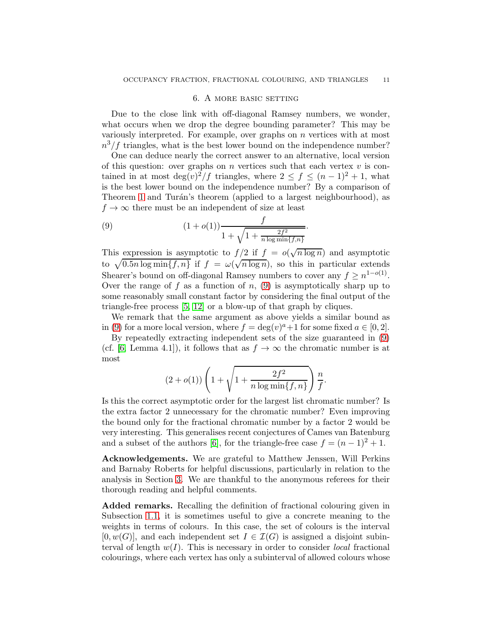### 6. A more basic setting

<span id="page-10-0"></span>Due to the close link with off-diagonal Ramsey numbers, we wonder, what occurs when we drop the degree bounding parameter? This may be variously interpreted. For example, over graphs on  $n$  vertices with at most  $n^3/f$  triangles, what is the best lower bound on the independence number?

One can deduce nearly the correct answer to an alternative, local version of this question: over graphs on  $n$  vertices such that each vertex  $v$  is contained in at most deg $(v)^2/f$  triangles, where  $2 \le f \le (n-1)^2 + 1$ , what is the best lower bound on the independence number? By a comparison of Theorem [1](#page-1-0) and Turán's theorem (applied to a largest neighbourhood), as  $f \rightarrow \infty$  there must be an independent of size at least

<span id="page-10-1"></span>(9) 
$$
\frac{f}{1 + \sqrt{1 + \frac{2f^2}{n \log \min\{f,n\}}}}.
$$

This expression is asymptotic to  $f/2$  if  $f = o(\sqrt{n \log n})$  and asymptotic to  $\sqrt{0.5n \log \min\{f, n\}}$  if  $f = \omega(\sqrt{n \log n})$ , so this in particular extends Shearer's bound on off-diagonal Ramsey numbers to cover any  $f \geq n^{1-o(1)}$ . Over the range of f as a function of n,  $(9)$  is asymptotically sharp up to some reasonably small constant factor by considering the final output of the triangle-free process [\[5,](#page-11-11) [12\]](#page-11-12) or a blow-up of that graph by cliques.

We remark that the same argument as above yields a similar bound as in [\(9\)](#page-10-1) for a more local version, where  $f = \deg(v)^a + 1$  for some fixed  $a \in [0, 2]$ .

By repeatedly extracting independent sets of the size guaranteed in [\(9\)](#page-10-1) (cf. [\[6,](#page-11-13) Lemma 4.1]), it follows that as  $f \to \infty$  the chromatic number is at most

$$
(2 + o(1)) \left( 1 + \sqrt{1 + \frac{2f^2}{n \log \min\{f, n\}} } \right) \frac{n}{f}.
$$

Is this the correct asymptotic order for the largest list chromatic number? Is the extra factor 2 unnecessary for the chromatic number? Even improving the bound only for the fractional chromatic number by a factor 2 would be very interesting. This generalises recent conjectures of Cames van Batenburg and a subset of the authors [\[6\]](#page-11-13), for the triangle-free case  $f = (n-1)^2 + 1$ .

Acknowledgements. We are grateful to Matthew Jenssen, Will Perkins and Barnaby Roberts for helpful discussions, particularly in relation to the analysis in Section [3.](#page-4-0) We are thankful to the anonymous referees for their thorough reading and helpful comments.

Added remarks. Recalling the definition of fractional colouring given in Subsection [1.1,](#page-2-1) it is sometimes useful to give a concrete meaning to the weights in terms of colours. In this case, the set of colours is the interval  $[0, w(G)]$ , and each independent set  $I \in \mathcal{I}(G)$  is assigned a disjoint subinterval of length  $w(I)$ . This is necessary in order to consider *local* fractional colourings, where each vertex has only a subinterval of allowed colours whose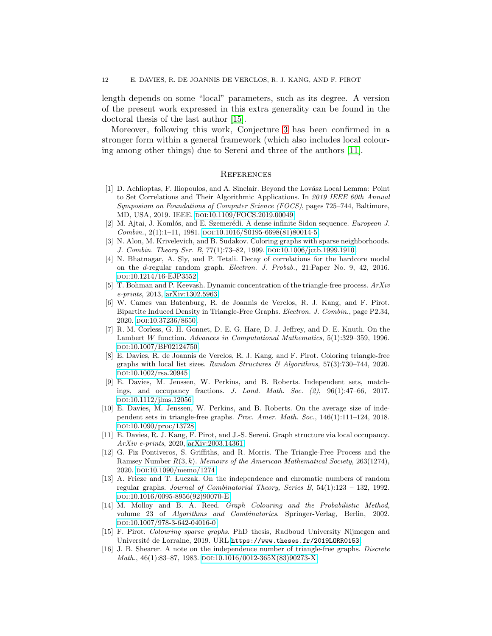length depends on some "local" parameters, such as its degree. A version of the present work expressed in this extra generality can be found in the doctoral thesis of the last author [\[15\]](#page-11-14).

Moreover, following this work, Conjecture [3](#page-1-4) has been confirmed in a stronger form within a general framework (which also includes local colouring among other things) due to Sereni and three of the authors [\[11\]](#page-11-15).

### **REFERENCES**

- <span id="page-11-2"></span>[1] D. Achlioptas, F. Iliopoulos, and A. Sinclair. Beyond the Lovász Local Lemma: Point to Set Correlations and Their Algorithmic Applications. In 2019 IEEE 60th Annual Symposium on Foundations of Computer Science (FOCS), pages 725–744, Baltimore, MD, USA, 2019. IEEE. doi[:10.1109/FOCS.2019.00049.](http://dx.doi.org/10.1109/FOCS.2019.00049)
- <span id="page-11-1"></span><span id="page-11-0"></span>[2] M. Ajtai, J. Komlós, and E. Szemerédi. A dense infinite Sidon sequence. European J.  $Combin., 2(1):1-11, 1981. \text{ DOI}:10.1016/S0195-6698(81)80014-5.$  $Combin., 2(1):1-11, 1981. \text{ DOI}:10.1016/S0195-6698(81)80014-5.$
- [3] N. Alon, M. Krivelevich, and B. Sudakov. Coloring graphs with sparse neighborhoods. J. Combin. Theory Ser. B, 77(1):73–82, 1999. doi[:10.1006/jctb.1999.1910.](http://dx.doi.org/10.1006/jctb.1999.1910)
- <span id="page-11-8"></span>[4] N. Bhatnagar, A. Sly, and P. Tetali. Decay of correlations for the hardcore model on the d-regular random graph. Electron. J. Probab., 21:Paper No. 9, 42, 2016. doi[:10.1214/16-EJP3552.](http://dx.doi.org/10.1214/16-EJP3552)
- <span id="page-11-11"></span>[5] T. Bohman and P. Keevash. Dynamic concentration of the triangle-free process.  $ArXiv$ e-prints, 2013, [arXiv:1302.5963.](http://arxiv.org/abs/1302.5963)
- <span id="page-11-13"></span>[6] W. Cames van Batenburg, R. de Joannis de Verclos, R. J. Kang, and F. Pirot. Bipartite Induced Density in Triangle-Free Graphs. Electron. J. Combin., page P2.34, 2020. doi[:10.37236/8650.](http://dx.doi.org/10.37236/8650)
- <span id="page-11-7"></span>[7] R. M. Corless, G. H. Gonnet, D. E. G. Hare, D. J. Jeffrey, and D. E. Knuth. On the Lambert W function. Advances in Computational Mathematics, 5(1):329–359, 1996. doi[:10.1007/BF02124750.](http://dx.doi.org/10.1007/BF02124750)
- <span id="page-11-5"></span>[8] E. Davies, R. de Joannis de Verclos, R. J. Kang, and F. Pirot. Coloring triangle-free graphs with local list sizes. Random Structures  $\mathcal{B}$  Algorithms, 57(3):730–744, 2020. doi[:10.1002/rsa.20945.](http://dx.doi.org/10.1002/rsa.20945)
- <span id="page-11-9"></span>[9] E. Davies, M. Jenssen, W. Perkins, and B. Roberts. Independent sets, matchings, and occupancy fractions. J. Lond. Math. Soc. (2), 96(1):47–66, 2017. doi[:10.1112/jlms.12056.](http://dx.doi.org/10.1112/jlms.12056)
- <span id="page-11-4"></span>[10] E. Davies, M. Jenssen, W. Perkins, and B. Roberts. On the average size of independent sets in triangle-free graphs. Proc. Amer. Math. Soc., 146(1):111–124, 2018. doi[:10.1090/proc/13728.](http://dx.doi.org/10.1090/proc/13728)
- <span id="page-11-15"></span>[11] E. Davies, R. J. Kang, F. Pirot, and J.-S. Sereni. Graph structure via local occupancy. ArXiv e-prints, 2020, [arXiv:2003.14361.](http://arxiv.org/abs/2003.14361)
- <span id="page-11-12"></span>[12] G. Fiz Pontiveros, S. Griffiths, and R. Morris. The Triangle-Free Process and the Ramsey Number  $R(3, k)$ . Memoirs of the American Mathematical Society, 263(1274), 2020. doi[:10.1090/memo/1274.](http://dx.doi.org/10.1090/memo/1274)
- <span id="page-11-10"></span>[13] A. Frieze and T. Luczak. On the independence and chromatic numbers of random regular graphs. Journal of Combinatorial Theory, Series B, 54(1):123 – 132, 1992. doi[:10.1016/0095-8956\(92\)90070-E.](http://dx.doi.org/10.1016/0095-8956(92)90070-E)
- <span id="page-11-6"></span>[14] M. Molloy and B. A. Reed. Graph Colouring and the Probabilistic Method, volume 23 of Algorithms and Combinatorics. Springer-Verlag, Berlin, 2002. doi[:10.1007/978-3-642-04016-0.](http://dx.doi.org/10.1007/978-3-642-04016-0)
- <span id="page-11-14"></span>[15] F. Pirot. Colouring sparse graphs. PhD thesis, Radboud University Nijmegen and Université de Lorraine, 2019. URL <https://www.theses.fr/2019LORR0153>.
- <span id="page-11-3"></span>[16] J. B. Shearer. A note on the independence number of triangle-free graphs. Discrete Math.,  $46(1):83-87$ , 1983.  $D01:10.1016/0012-365X(83)90273-X$ .